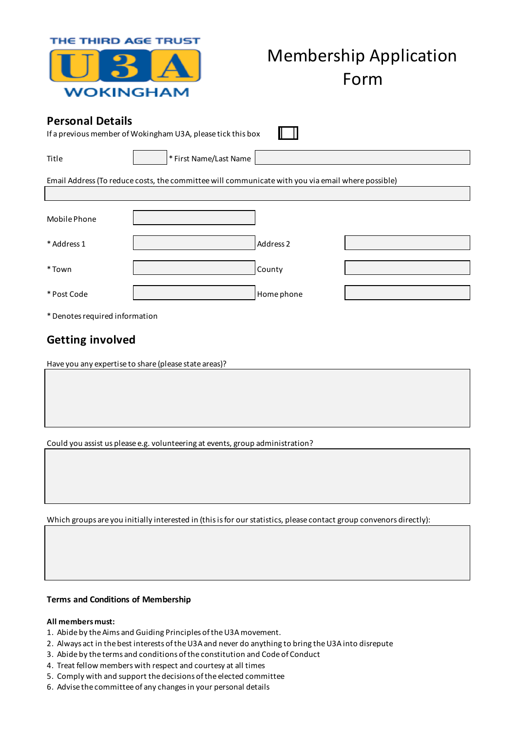| WOKINGHAM                                                                              | <b>Membership Application</b><br>Form                                                             |  |
|----------------------------------------------------------------------------------------|---------------------------------------------------------------------------------------------------|--|
| <b>Personal Details</b><br>If a previous member of Wokingham U3A, please tick this box |                                                                                                   |  |
| Title                                                                                  | * First Name/Last Name                                                                            |  |
|                                                                                        | Email Address (To reduce costs, the committee will communicate with you via email where possible) |  |
|                                                                                        |                                                                                                   |  |
| Mobile Phone                                                                           |                                                                                                   |  |
| * Address 1                                                                            | Address 2                                                                                         |  |
| *Town                                                                                  | County                                                                                            |  |
| * Post Code                                                                            | Home phone                                                                                        |  |
| * Denotes required information                                                         |                                                                                                   |  |

# **Getting involved**

Have you any expertise to share (please state areas)?

THE THIRD AGE TRUST

Could you assist us please e.g. volunteering at events, group administration?

Which groups are you initially interested in (this is for our statistics, please contact group convenors directly):

# **Terms and Conditions of Membership**

### **All members must:**

- 1. Abide by the Aims and Guiding Principles of the U3A movement.
- 2. Always act in the best interests of the U3A and never do anything to bring the U3A into disrepute
- 3. Abide by the terms and conditions of the constitution and Code of Conduct
- 4. Treat fellow members with respect and courtesy at all times
- 5. Comply with and support the decisions of the elected committee
- 6. Advise the committee of any changes in your personal details